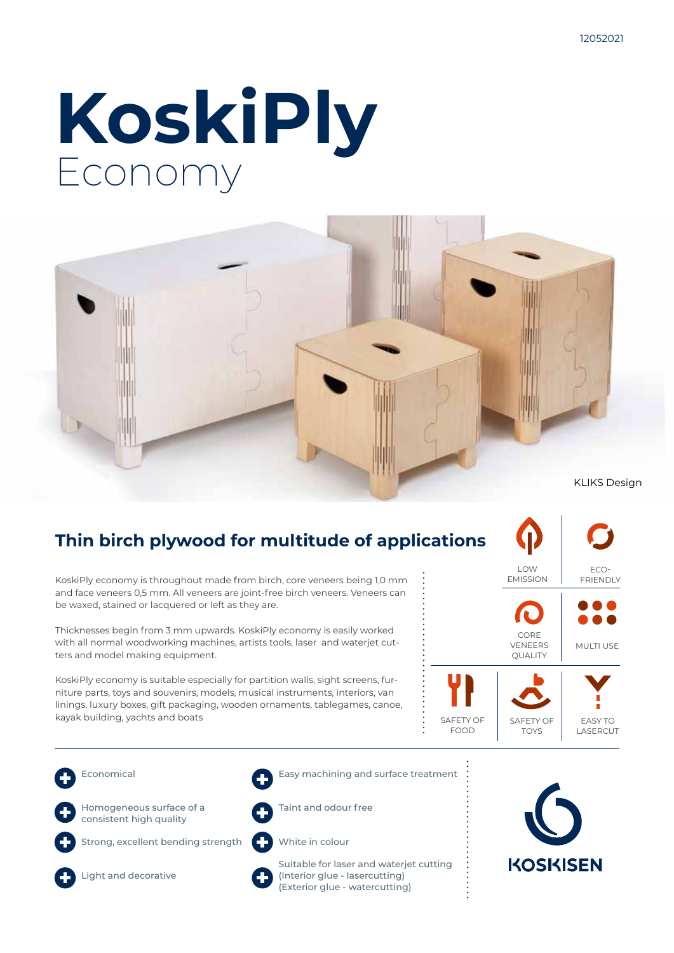# **KoskiPly** Economy



### **Thin birch plywood for multitude of applications**

KoskiPly economy is throughout made from birch, core veneers being 1,0 mm and face veneers 0,5 mm. All veneers are joint-free birch veneers. Veneers can be waxed, stained or lacquered or left as they are.

Thicknesses begin from 3 mm upwards. KoskiPly economy is easily worked with all normal woodworking machines, artists tools, laser and waterjet cutters and model making equipment.

KoskiPly economy is suitable especially for partition walls, sight screens, furniture parts, toys and souvenirs, models, musical instruments, interiors, van linings, luxury boxes, gift packaging, wooden ornaments, tablegames, canoe, kayak building, yachts and boats



- Economical
- 

Homogeneous surface of a consistent high quality

Strong, excellent bending strength



Light and decorative



Easy machining and surface treatment



White in colour





Suitable for laser and waterjet cutting (Interior glue - lasercutting) (Exterior glue - watercutting)